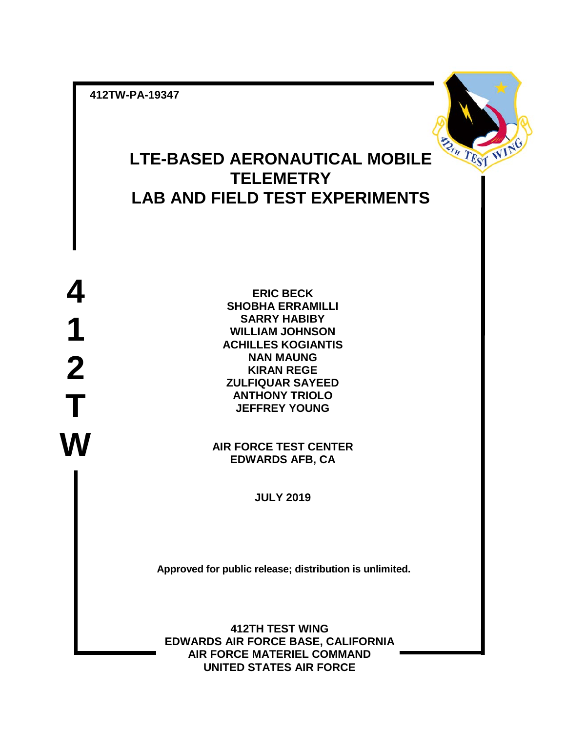**412TW-PA-19347**



# **LTE-BASED AERONAUTICAL MOBILE TELEMETRY LAB AND FIELD TEST EXPERIMENTS**

**4 1 2 T W**

**ERIC BECK SHOBHA ERRAMILLI SARRY HABIBY WILLIAM JOHNSON ACHILLES KOGIANTIS NAN MAUNG KIRAN REGE ZULFIQUAR SAYEED ANTHONY TRIOLO JEFFREY YOUNG**

**AIR FORCE TEST CENTER EDWARDS AFB, CA**

**JULY 2019**

**Approved for public release; distribution is unlimited.**

**412TH TEST WING EDWARDS AIR FORCE BASE, CALIFORNIA AIR FORCE MATERIEL COMMAND UNITED STATES AIR FORCE**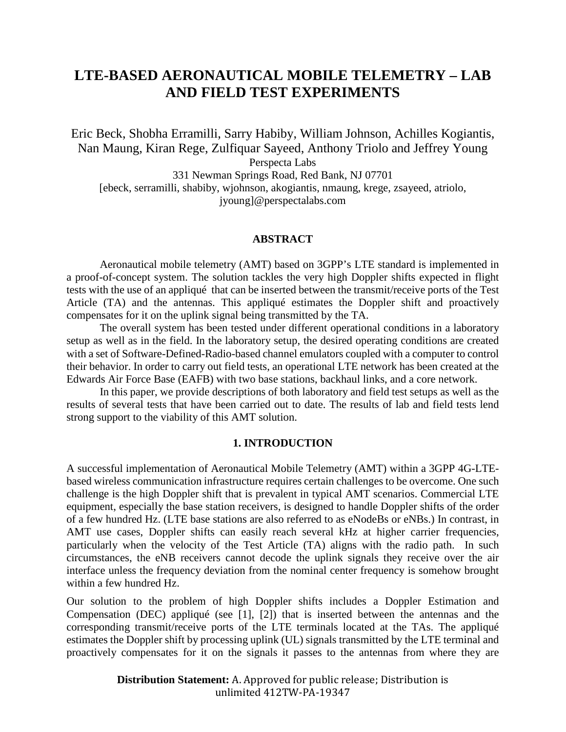## **LTE-BASED AERONAUTICAL MOBILE TELEMETRY – LAB AND FIELD TEST EXPERIMENTS**

Eric Beck, Shobha Erramilli, Sarry Habiby, William Johnson, Achilles Kogiantis, Nan Maung, Kiran Rege, Zulfiquar Sayeed, Anthony Triolo and Jeffrey Young Perspecta Labs 331 Newman Springs Road, Red Bank, NJ 07701 [ebeck, serramilli, shabiby, wjohnson, akogiantis, nmaung, krege, zsayeed, atriolo, jyoung]@perspectalabs.com

#### **ABSTRACT**

Aeronautical mobile telemetry (AMT) based on 3GPP's LTE standard is implemented in a proof-of-concept system. The solution tackles the very high Doppler shifts expected in flight tests with the use of an appliqué that can be inserted between the transmit/receive ports of the Test Article (TA) and the antennas. This appliqué estimates the Doppler shift and proactively compensates for it on the uplink signal being transmitted by the TA.

The overall system has been tested under different operational conditions in a laboratory setup as well as in the field. In the laboratory setup, the desired operating conditions are created with a set of Software-Defined-Radio-based channel emulators coupled with a computer to control their behavior. In order to carry out field tests, an operational LTE network has been created at the Edwards Air Force Base (EAFB) with two base stations, backhaul links, and a core network.

In this paper, we provide descriptions of both laboratory and field test setups as well as the results of several tests that have been carried out to date. The results of lab and field tests lend strong support to the viability of this AMT solution.

#### **1. INTRODUCTION**

A successful implementation of Aeronautical Mobile Telemetry (AMT) within a 3GPP 4G-LTEbased wireless communication infrastructure requires certain challenges to be overcome. One such challenge is the high Doppler shift that is prevalent in typical AMT scenarios. Commercial LTE equipment, especially the base station receivers, is designed to handle Doppler shifts of the order of a few hundred Hz. (LTE base stations are also referred to as eNodeBs or eNBs.) In contrast, in AMT use cases, Doppler shifts can easily reach several kHz at higher carrier frequencies, particularly when the velocity of the Test Article (TA) aligns with the radio path. In such circumstances, the eNB receivers cannot decode the uplink signals they receive over the air interface unless the frequency deviation from the nominal center frequency is somehow brought within a few hundred Hz.

Our solution to the problem of high Doppler shifts includes a Doppler Estimation and Compensation (DEC) appliqué (see [1], [2]) that is inserted between the antennas and the corresponding transmit/receive ports of the LTE terminals located at the TAs. The appliqué estimates the Doppler shift by processing uplink (UL) signals transmitted by the LTE terminal and proactively compensates for it on the signals it passes to the antennas from where they are

> **Distribution Statement:** A. Approved for public release; Distribution is unlimited 412TW-PA-19347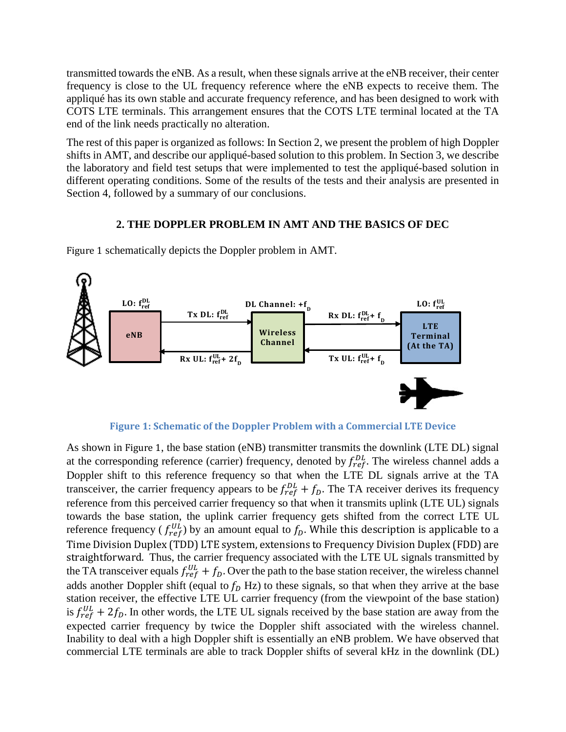transmitted towards the eNB. As a result, when these signals arrive at the eNB receiver, their center frequency is close to the UL frequency reference where the eNB expects to receive them. The appliqué has its own stable and accurate frequency reference, and has been designed to work with COTS LTE terminals. This arrangement ensures that the COTS LTE terminal located at the TA end of the link needs practically no alteration.

The rest of this paper is organized as follows: In Section 2, we present the problem of high Doppler shifts in AMT, and describe our appliqué-based solution to this problem. In Section 3, we describe the laboratory and field test setups that were implemented to test the appliqué-based solution in different operating conditions. Some of the results of the tests and their analysis are presented in Section 4, followed by a summary of our conclusions.

## **2. THE DOPPLER PROBLEM IN AMT AND THE BASICS OF DEC**



[Figure 1](#page-2-0) schematically depicts the Doppler problem in AMT.

**Figure 1: Schematic of the Doppler Problem with a Commercial LTE Device**

<span id="page-2-0"></span>As shown in [Figure 1](#page-2-0), the base station (eNB) transmitter transmits the downlink (LTE DL) signal at the corresponding reference (carrier) frequency, denoted by  $f_{ref}^{DL}$ . The wireless channel adds a Doppler shift to this reference frequency so that when the LTE DL signals arrive at the TA transceiver, the carrier frequency appears to be  $f_{ref}^{DL} + f_D$ . The TA receiver derives its frequency reference from this perceived carrier frequency so that when it transmits uplink (LTE UL) signals towards the base station, the uplink carrier frequency gets shifted from the correct LTE UL reference frequency ( $f_{ref}^{UL}$ ) by an amount equal to  $f_D$ . While this description is applicable to a Time Division Duplex (TDD) LTE system, extensions to Frequency Division Duplex (FDD) are straightforward. Thus, the carrier frequency associated with the LTE UL signals transmitted by the TA transceiver equals  $f_{ref}^{UL} + f_D$ . Over the path to the base station receiver, the wireless channel adds another Doppler shift (equal to  $f<sub>D</sub>$  Hz) to these signals, so that when they arrive at the base station receiver, the effective LTE UL carrier frequency (from the viewpoint of the base station) is  $f_{ref}^{UL} + 2f_D$ . In other words, the LTE UL signals received by the base station are away from the expected carrier frequency by twice the Doppler shift associated with the wireless channel. Inability to deal with a high Doppler shift is essentially an eNB problem. We have observed that commercial LTE terminals are able to track Doppler shifts of several kHz in the downlink (DL)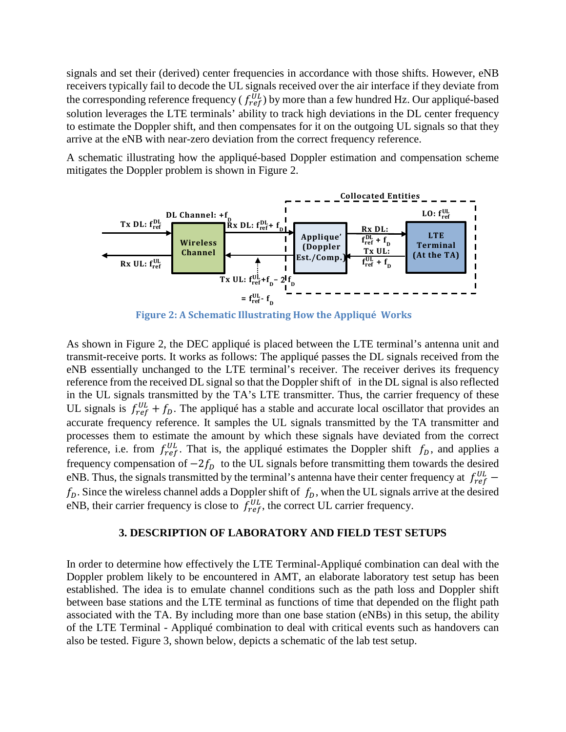signals and set their (derived) center frequencies in accordance with those shifts. However, eNB receivers typically fail to decode the UL signals received over the air interface if they deviate from the corresponding reference frequency ( $f_{ref}^{UL}$ ) by more than a few hundred Hz. Our appliqué-based solution leverages the LTE terminals' ability to track high deviations in the DL center frequency to estimate the Doppler shift, and then compensates for it on the outgoing UL signals so that they arrive at the eNB with near-zero deviation from the correct frequency reference.

A schematic illustrating how the appliqué-based Doppler estimation and compensation scheme mitigates the Doppler problem is shown in Figure 2.



**Figure 2: A Schematic Illustrating How the Appliqué Works**

As shown in Figure 2, the DEC appliqué is placed between the LTE terminal's antenna unit and transmit-receive ports. It works as follows: The appliqué passes the DL signals received from the eNB essentially unchanged to the LTE terminal's receiver. The receiver derives its frequency reference from the received DL signal so that the Doppler shift of in the DL signal is also reflected in the UL signals transmitted by the TA's LTE transmitter. Thus, the carrier frequency of these UL signals is  $f_{ref}^{UL} + f_D$ . The appliqué has a stable and accurate local oscillator that provides an accurate frequency reference. It samples the UL signals transmitted by the TA transmitter and processes them to estimate the amount by which these signals have deviated from the correct reference, i.e. from  $f_{ref}^{UL}$ . That is, the appliqué estimates the Doppler shift  $f_D$ , and applies a frequency compensation of  $-2f_D$  to the UL signals before transmitting them towards the desired eNB. Thus, the signals transmitted by the terminal's antenna have their center frequency at  $f_{ref}^{UL}$  –  $f_D$ . Since the wireless channel adds a Doppler shift of  $f_D$ , when the UL signals arrive at the desired eNB, their carrier frequency is close to  $f_{ref}^{UL}$ , the correct UL carrier frequency.

### **3. DESCRIPTION OF LABORATORY AND FIELD TEST SETUPS**

In order to determine how effectively the LTE Terminal-Appliqué combination can deal with the Doppler problem likely to be encountered in AMT, an elaborate laboratory test setup has been established. The idea is to emulate channel conditions such as the path loss and Doppler shift between base stations and the LTE terminal as functions of time that depended on the flight path associated with the TA. By including more than one base station (eNBs) in this setup, the ability of the LTE Terminal - Appliqué combination to deal with critical events such as handovers can also be tested. Figure 3, shown below, depicts a schematic of the lab test setup.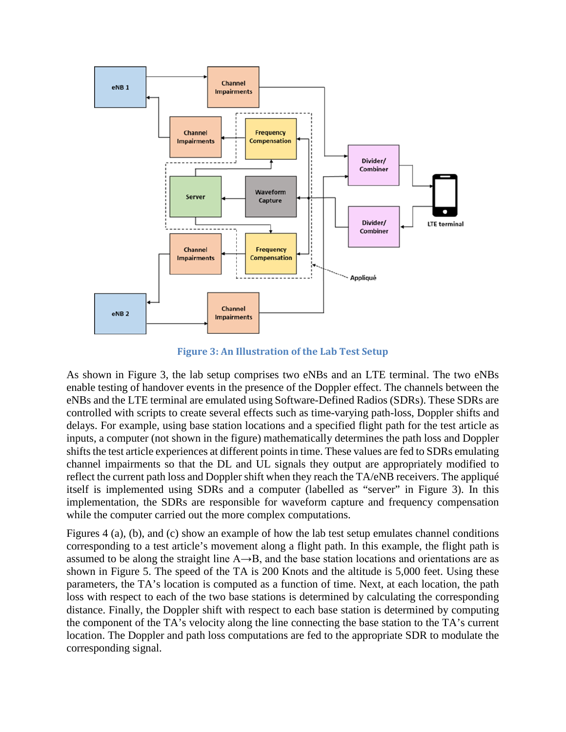

**Figure 3: An Illustration of the Lab Test Setup**

As shown in Figure 3, the lab setup comprises two eNBs and an LTE terminal. The two eNBs enable testing of handover events in the presence of the Doppler effect. The channels between the eNBs and the LTE terminal are emulated using Software-Defined Radios (SDRs). These SDRs are controlled with scripts to create several effects such as time-varying path-loss, Doppler shifts and delays. For example, using base station locations and a specified flight path for the test article as inputs, a computer (not shown in the figure) mathematically determines the path loss and Doppler shifts the test article experiences at different points in time. These values are fed to SDRs emulating channel impairments so that the DL and UL signals they output are appropriately modified to reflect the current path loss and Doppler shift when they reach the TA/eNB receivers. The appliqué itself is implemented using SDRs and a computer (labelled as "server" in Figure 3). In this implementation, the SDRs are responsible for waveform capture and frequency compensation while the computer carried out the more complex computations.

Figures 4 (a), (b), and (c) show an example of how the lab test setup emulates channel conditions corresponding to a test article's movement along a flight path. In this example, the flight path is assumed to be along the straight line A→B, and the base station locations and orientations are as shown in Figure 5. The speed of the TA is 200 Knots and the altitude is 5,000 feet. Using these parameters, the TA's location is computed as a function of time. Next, at each location, the path loss with respect to each of the two base stations is determined by calculating the corresponding distance. Finally, the Doppler shift with respect to each base station is determined by computing the component of the TA's velocity along the line connecting the base station to the TA's current location. The Doppler and path loss computations are fed to the appropriate SDR to modulate the corresponding signal.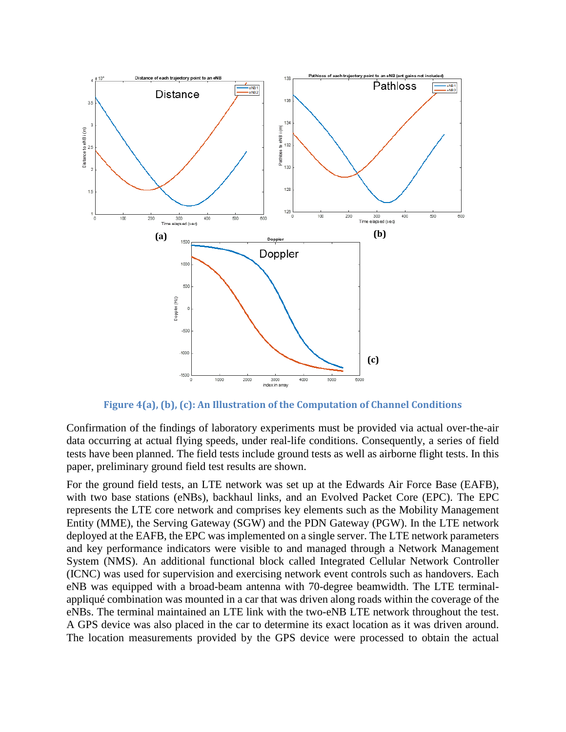

**Figure 4(a), (b), (c): An Illustration of the Computation of Channel Conditions**

Confirmation of the findings of laboratory experiments must be provided via actual over-the-air data occurring at actual flying speeds, under real-life conditions. Consequently, a series of field tests have been planned. The field tests include ground tests as well as airborne flight tests. In this paper, preliminary ground field test results are shown.

For the ground field tests, an LTE network was set up at the Edwards Air Force Base (EAFB), with two base stations (eNBs), backhaul links, and an Evolved Packet Core (EPC). The EPC represents the LTE core network and comprises key elements such as the Mobility Management Entity (MME), the Serving Gateway (SGW) and the PDN Gateway (PGW). In the LTE network deployed at the EAFB, the EPC was implemented on a single server. The LTE network parameters and key performance indicators were visible to and managed through a Network Management System (NMS). An additional functional block called Integrated Cellular Network Controller (ICNC) was used for supervision and exercising network event controls such as handovers. Each eNB was equipped with a broad-beam antenna with 70-degree beamwidth. The LTE terminalappliqué combination was mounted in a car that was driven along roads within the coverage of the eNBs. The terminal maintained an LTE link with the two-eNB LTE network throughout the test. A GPS device was also placed in the car to determine its exact location as it was driven around. The location measurements provided by the GPS device were processed to obtain the actual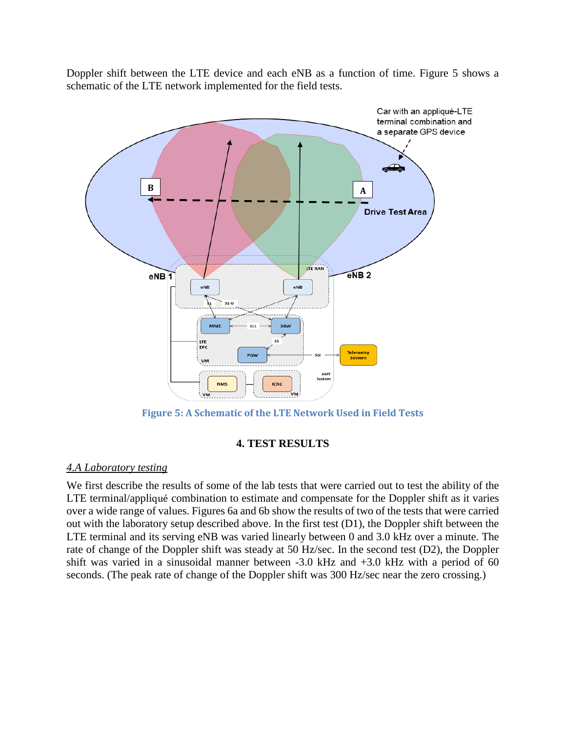Doppler shift between the LTE device and each eNB as a function of time. Figure 5 shows a schematic of the LTE network implemented for the field tests.



**Figure 5: A Schematic of the LTE Network Used in Field Tests**

## **4. TEST RESULTS**

## *4.A Laboratory testing*

We first describe the results of some of the lab tests that were carried out to test the ability of the LTE terminal/appliqué combination to estimate and compensate for the Doppler shift as it varies over a wide range of values. Figures 6a and 6b show the results of two of the tests that were carried out with the laboratory setup described above. In the first test (D1), the Doppler shift between the LTE terminal and its serving eNB was varied linearly between 0 and 3.0 kHz over a minute. The rate of change of the Doppler shift was steady at 50 Hz/sec. In the second test (D2), the Doppler shift was varied in a sinusoidal manner between -3.0 kHz and +3.0 kHz with a period of 60 seconds. (The peak rate of change of the Doppler shift was 300 Hz/sec near the zero crossing.)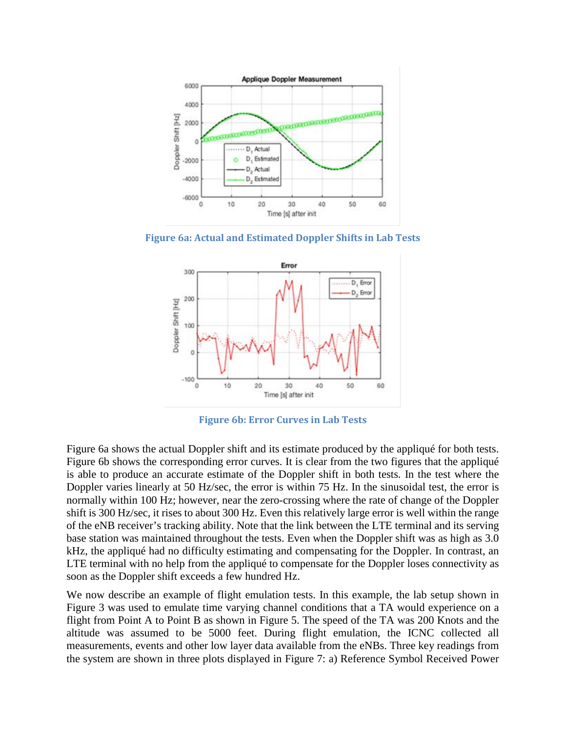

**Figure 6a: Actual and Estimated Doppler Shifts in Lab Tests**



**Figure 6b: Error Curves in Lab Tests**

Figure 6a shows the actual Doppler shift and its estimate produced by the appliqué for both tests. Figure 6b shows the corresponding error curves. It is clear from the two figures that the appliqué is able to produce an accurate estimate of the Doppler shift in both tests. In the test where the Doppler varies linearly at 50 Hz/sec, the error is within 75 Hz. In the sinusoidal test, the error is normally within 100 Hz; however, near the zero-crossing where the rate of change of the Doppler shift is 300 Hz/sec, it rises to about 300 Hz. Even this relatively large error is well within the range of the eNB receiver's tracking ability. Note that the link between the LTE terminal and its serving base station was maintained throughout the tests. Even when the Doppler shift was as high as 3.0 kHz, the appliqué had no difficulty estimating and compensating for the Doppler. In contrast, an LTE terminal with no help from the appliqué to compensate for the Doppler loses connectivity as soon as the Doppler shift exceeds a few hundred Hz.

We now describe an example of flight emulation tests. In this example, the lab setup shown in Figure 3 was used to emulate time varying channel conditions that a TA would experience on a flight from Point A to Point B as shown in Figure 5. The speed of the TA was 200 Knots and the altitude was assumed to be 5000 feet. During flight emulation, the ICNC collected all measurements, events and other low layer data available from the eNBs. Three key readings from the system are shown in three plots displayed in Figure 7: a) Reference Symbol Received Power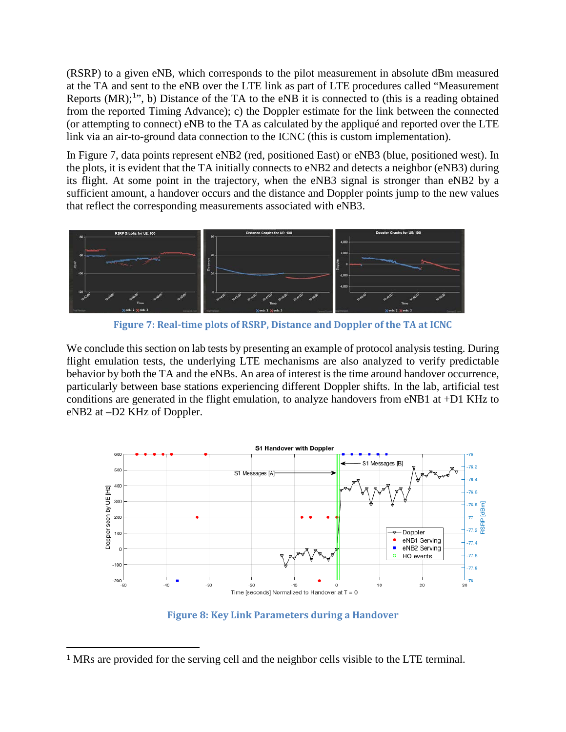(RSRP) to a given eNB, which corresponds to the pilot measurement in absolute dBm measured at the TA and sent to the eNB over the LTE link as part of LTE procedures called "Measurement Reports  $(MR)$ ;<sup>[1](#page-8-0)</sup>", b) Distance of the TA to the eNB it is connected to (this is a reading obtained from the reported Timing Advance); c) the Doppler estimate for the link between the connected (or attempting to connect) eNB to the TA as calculated by the appliqué and reported over the LTE link via an air-to-ground data connection to the ICNC (this is custom implementation).

In Figure 7, data points represent eNB2 (red, positioned East) or eNB3 (blue, positioned west). In the plots, it is evident that the TA initially connects to eNB2 and detects a neighbor (eNB3) during its flight. At some point in the trajectory, when the eNB3 signal is stronger than eNB2 by a sufficient amount, a handover occurs and the distance and Doppler points jump to the new values that reflect the corresponding measurements associated with eNB3.



**Figure 7: Real-time plots of RSRP, Distance and Doppler of the TA at ICNC**

We conclude this section on lab tests by presenting an example of protocol analysis testing. During flight emulation tests, the underlying LTE mechanisms are also analyzed to verify predictable behavior by both the TA and the eNBs. An area of interest is the time around handover occurrence, particularly between base stations experiencing different Doppler shifts. In the lab, artificial test conditions are generated in the flight emulation, to analyze handovers from eNB1 at +D1 KHz to eNB2 at –D2 KHz of Doppler.



**Figure 8: Key Link Parameters during a Handover**

<span id="page-8-0"></span> <sup>1</sup> MRs are provided for the serving cell and the neighbor cells visible to the LTE terminal.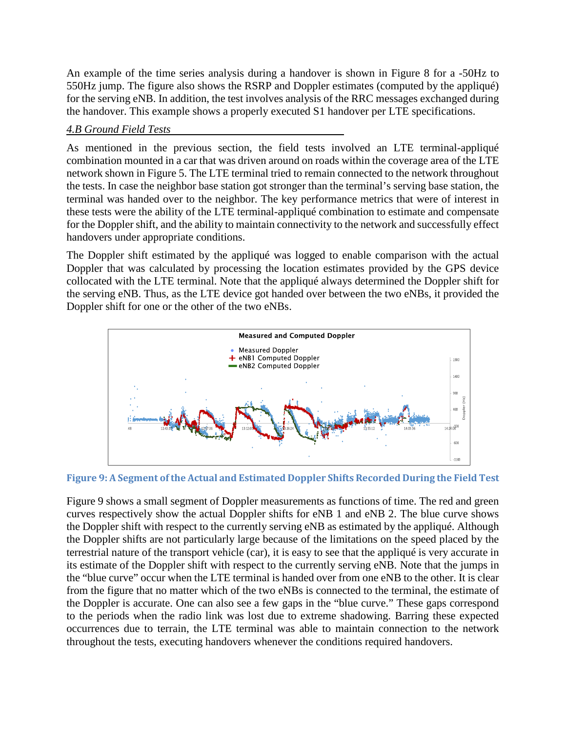An example of the time series analysis during a handover is shown in Figure 8 for a -50Hz to 550Hz jump. The figure also shows the RSRP and Doppler estimates (computed by the appliqué) for the serving eNB. In addition, the test involves analysis of the RRC messages exchanged during the handover. This example shows a properly executed S1 handover per LTE specifications.

## *4.B Ground Field Tests*

As mentioned in the previous section, the field tests involved an LTE terminal-appliqué combination mounted in a car that was driven around on roads within the coverage area of the LTE network shown in Figure 5. The LTE terminal tried to remain connected to the network throughout the tests. In case the neighbor base station got stronger than the terminal's serving base station, the terminal was handed over to the neighbor. The key performance metrics that were of interest in these tests were the ability of the LTE terminal-appliqué combination to estimate and compensate for the Doppler shift, and the ability to maintain connectivity to the network and successfully effect handovers under appropriate conditions.

The Doppler shift estimated by the appliqué was logged to enable comparison with the actual Doppler that was calculated by processing the location estimates provided by the GPS device collocated with the LTE terminal. Note that the appliqué always determined the Doppler shift for the serving eNB. Thus, as the LTE device got handed over between the two eNBs, it provided the Doppler shift for one or the other of the two eNBs.



**Figure 9: A Segment of the Actual and Estimated Doppler Shifts Recorded During the Field Test**

Figure 9 shows a small segment of Doppler measurements as functions of time. The red and green curves respectively show the actual Doppler shifts for eNB 1 and eNB 2. The blue curve shows the Doppler shift with respect to the currently serving eNB as estimated by the appliqué. Although the Doppler shifts are not particularly large because of the limitations on the speed placed by the terrestrial nature of the transport vehicle (car), it is easy to see that the appliqué is very accurate in its estimate of the Doppler shift with respect to the currently serving eNB. Note that the jumps in the "blue curve" occur when the LTE terminal is handed over from one eNB to the other. It is clear from the figure that no matter which of the two eNBs is connected to the terminal, the estimate of the Doppler is accurate. One can also see a few gaps in the "blue curve." These gaps correspond to the periods when the radio link was lost due to extreme shadowing. Barring these expected occurrences due to terrain, the LTE terminal was able to maintain connection to the network throughout the tests, executing handovers whenever the conditions required handovers.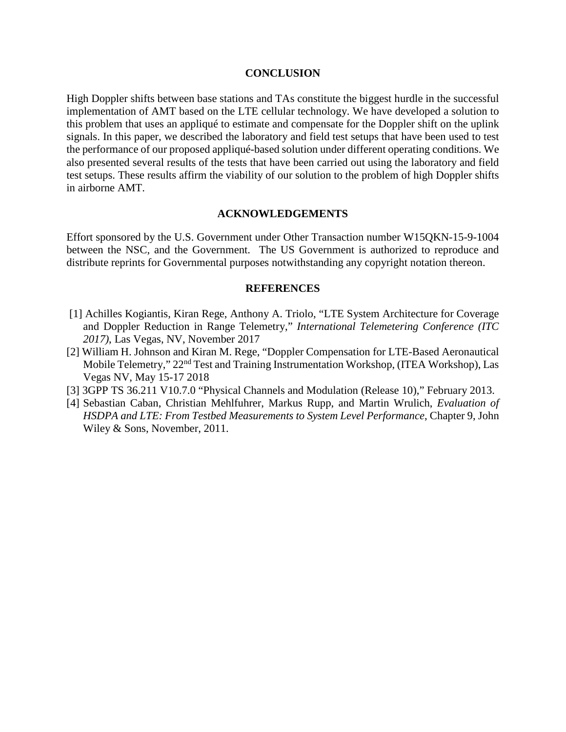#### **CONCLUSION**

High Doppler shifts between base stations and TAs constitute the biggest hurdle in the successful implementation of AMT based on the LTE cellular technology. We have developed a solution to this problem that uses an appliqué to estimate and compensate for the Doppler shift on the uplink signals. In this paper, we described the laboratory and field test setups that have been used to test the performance of our proposed appliqué-based solution under different operating conditions. We also presented several results of the tests that have been carried out using the laboratory and field test setups. These results affirm the viability of our solution to the problem of high Doppler shifts in airborne AMT.

#### **ACKNOWLEDGEMENTS**

Effort sponsored by the U.S. Government under Other Transaction number W15QKN-15-9-1004 between the NSC, and the Government. The US Government is authorized to reproduce and distribute reprints for Governmental purposes notwithstanding any copyright notation thereon.

#### **REFERENCES**

- [1] Achilles Kogiantis, Kiran Rege, Anthony A. Triolo, "LTE System Architecture for Coverage and Doppler Reduction in Range Telemetry," *International Telemetering Conference (ITC 2017)*, Las Vegas, NV, November 2017
- [2] William H. Johnson and Kiran M. Rege, "Doppler Compensation for LTE-Based Aeronautical Mobile Telemetry," 22<sup>nd</sup> Test and Training Instrumentation Workshop, (ITEA Workshop), Las Vegas NV, May 15-17 2018
- [3] 3GPP TS 36.211 V10.7.0 "Physical Channels and Modulation (Release 10)," February 2013.
- [4] Sebastian Caban, Christian Mehlfuhrer, Markus Rupp, and Martin Wrulich, *Evaluation of HSDPA and LTE: From Testbed Measurements to System Level Performance*, Chapter 9, John Wiley & Sons, November, 2011.